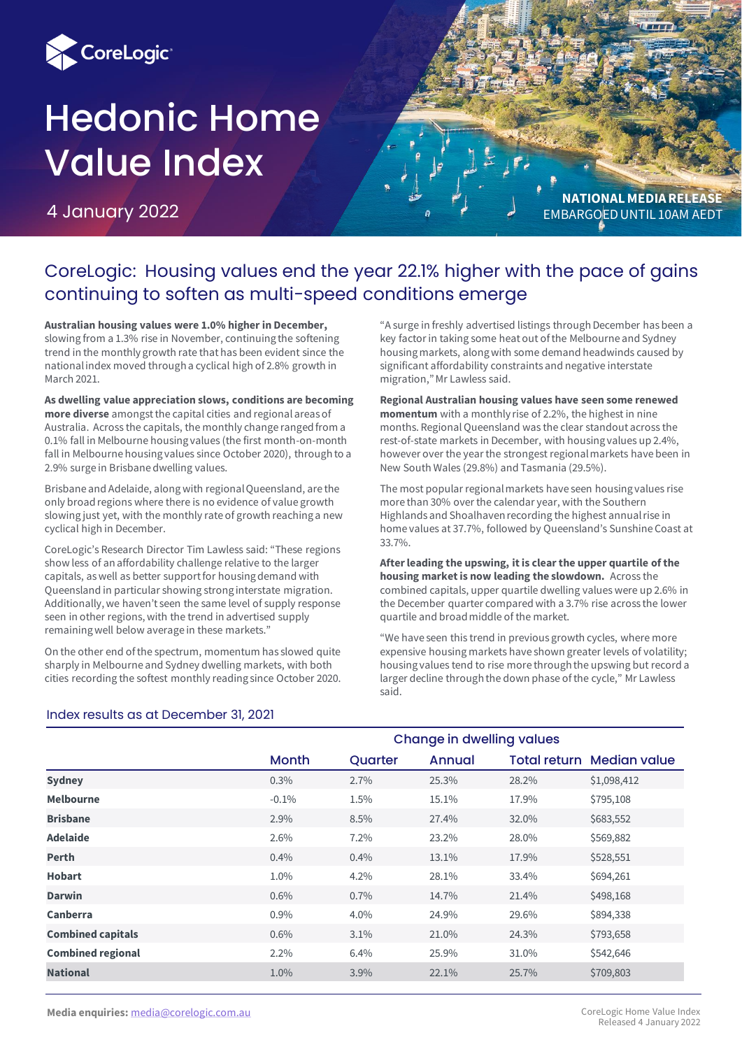

# Hedonic Home Value Index

4 January 2022



## CoreLogic: Housing values end the year 22.1% higher with the pace of gains continuing to soften as multi-speed conditions emerge

**Australian housing values were 1.0% higher in December,**  slowing from a 1.3% rise in November, continuing the softening trend in the monthly growth rate that has been evident since the national index moved through a cyclical high of 2.8% growth in March 2021.

**As dwelling value appreciation slows, conditions are becoming more diverse** amongst the capital cities and regional areas of Australia. Across the capitals, the monthly change ranged from a 0.1% fall in Melbourne housing values (the first month-on-month fall in Melbourne housing values since October 2020), through to a 2.9% surge in Brisbane dwelling values.

Brisbane and Adelaide, along with regional Queensland, are the only broad regions where there is no evidence of value growth slowing just yet, with the monthly rate of growth reaching a new cyclical high in December.

CoreLogic's Research Director Tim Lawless said: "These regions show less of an affordability challenge relative to the larger capitals, as well as better support for housing demand with Queensland in particular showing strong interstate migration. Additionally, we haven't seen the same level of supply response seen in other regions, with the trend in advertised supply remaining well below average in these markets."

On the other end of the spectrum, momentum has slowed quite sharply in Melbourne and Sydney dwelling markets, with both cities recording the softest monthly reading since October 2020.

"A surge in freshly advertised listings through December has been a key factor in taking some heat out of the Melbourne and Sydney housing markets, along with some demand headwinds caused by significant affordability constraints and negative interstate migration," Mr Lawless said.

**Regional Australian housing values have seen some renewed momentum** with a monthly rise of 2.2%, the highest in nine months. Regional Queensland was the clear standout across the rest-of-state markets in December, with housing values up 2.4%, however over the year the strongest regional markets have been in New South Wales (29.8%) and Tasmania (29.5%).

The most popular regional markets have seen housing values rise more than 30% over the calendar year, with the Southern Highlands and Shoalhaven recording the highest annual rise in home values at 37.7%, followed by Queensland's Sunshine Coast at 33.7%.

**After leading the upswing, it is clear the upper quartile of the housing market is now leading the slowdown.** Across the combined capitals, upper quartile dwelling values were up 2.6% in the December quarter compared with a 3.7% rise across the lower quartile and broad middle of the market.

"We have seen this trend in previous growth cycles, where more expensive housing markets have shown greater levels of volatility; housing values tend to rise more through the upswing but record a larger decline through the down phase of the cycle," Mr Lawless said.

|                          | <b>Change in dwelling values</b> |         |        |       |                                  |  |  |  |  |  |  |
|--------------------------|----------------------------------|---------|--------|-------|----------------------------------|--|--|--|--|--|--|
|                          | Month                            | Quarter | Annual |       | <b>Total return Median value</b> |  |  |  |  |  |  |
| <b>Sydney</b>            | 0.3%                             | 2.7%    | 25.3%  | 28.2% | \$1,098,412                      |  |  |  |  |  |  |
| <b>Melbourne</b>         | $-0.1%$                          | 1.5%    | 15.1%  | 17.9% | \$795,108                        |  |  |  |  |  |  |
| <b>Brisbane</b>          | 2.9%                             | 8.5%    | 27.4%  | 32.0% | \$683,552                        |  |  |  |  |  |  |
| <b>Adelaide</b>          | 2.6%                             | 7.2%    | 23.2%  | 28.0% | \$569,882                        |  |  |  |  |  |  |
| <b>Perth</b>             | 0.4%                             | 0.4%    | 13.1%  | 17.9% | \$528,551                        |  |  |  |  |  |  |
| <b>Hobart</b>            | 1.0%                             | 4.2%    | 28.1%  | 33.4% | \$694,261                        |  |  |  |  |  |  |
| <b>Darwin</b>            | $0.6\%$                          | 0.7%    | 14.7%  | 21.4% | \$498,168                        |  |  |  |  |  |  |
| <b>Canberra</b>          | 0.9%                             | 4.0%    | 24.9%  | 29.6% | \$894,338                        |  |  |  |  |  |  |
| <b>Combined capitals</b> | 0.6%                             | 3.1%    | 21.0%  | 24.3% | \$793,658                        |  |  |  |  |  |  |
| <b>Combined regional</b> | 2.2%                             | 6.4%    | 25.9%  | 31.0% | \$542,646                        |  |  |  |  |  |  |
| <b>National</b>          | 1.0%                             | 3.9%    | 22.1%  | 25.7% | \$709,803                        |  |  |  |  |  |  |

### Index results as at December 31, 2021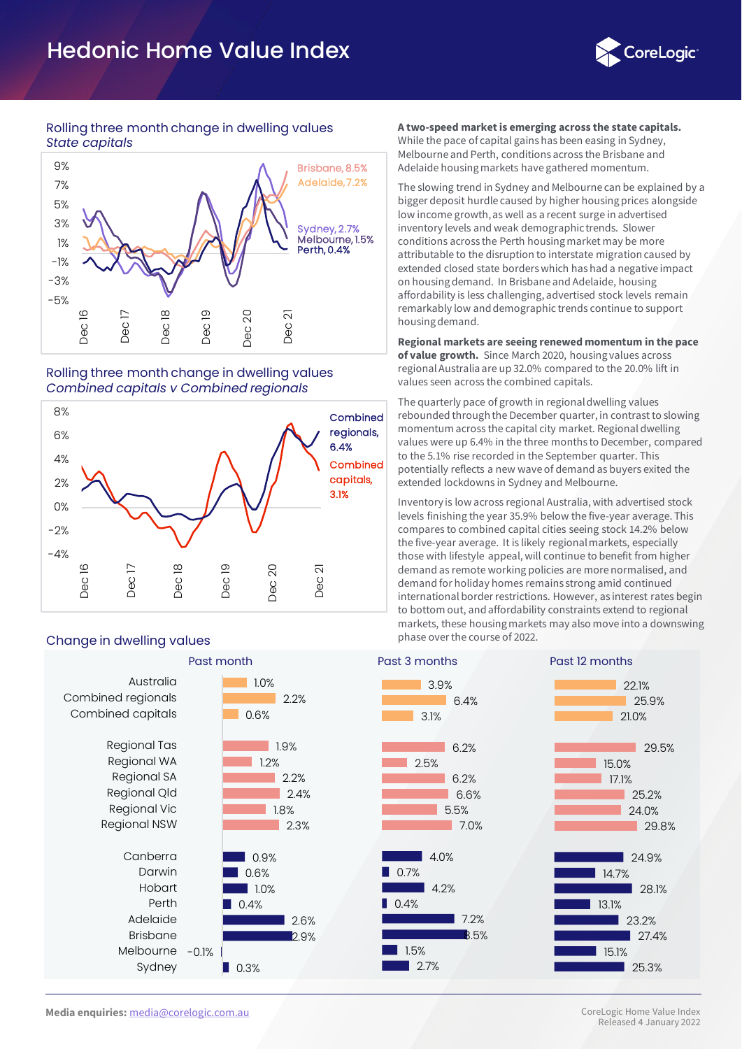# Hedonic Home Value Index



#### Rolling three month change in dwelling values *State capitals*



#### Rolling three month change in dwelling values *Combined capitals v Combined regionals*



## Change in dwelling values change in the course of 2022.

|                                                                                             | Past month |                                      |                                      |  |  |  |  |  |  |  |
|---------------------------------------------------------------------------------------------|------------|--------------------------------------|--------------------------------------|--|--|--|--|--|--|--|
| Australia<br>Combined regionals<br>Combined capitals                                        |            | 1.0%<br>0.6%                         | 2.2%                                 |  |  |  |  |  |  |  |
| Regional Tas<br>Regional WA<br>Regional SA<br>Regional Qld<br>Regional Vic<br>Regional NSW  |            | 1.2%                                 | 1.9%<br>2.2%<br>2.4%<br>1.8%<br>2.3% |  |  |  |  |  |  |  |
| Canberra<br>Darwin<br>Hobart<br>Perth<br>Adelaide<br><b>Brisbane</b><br>Melbourne<br>Sydney | $-0.1%$    | 0.9%<br>0.6%<br>1.0%<br>0.4%<br>0.3% | 2.6%<br>2.9%                         |  |  |  |  |  |  |  |

#### **A two-speed market is emerging across the state capitals.**

While the pace of capital gains has been easing in Sydney, Melbourne and Perth, conditions across the Brisbane and Adelaide housing markets have gathered momentum.

The slowing trend in Sydney and Melbourne can be explained by a bigger deposit hurdle caused by higher housing prices alongside low income growth, as well as a recent surge in advertised inventory levels and weak demographic trends. Slower conditions across the Perth housing market may be more attributable to the disruption to interstate migration caused by extended closed state borders which has had a negative impact on housing demand. In Brisbane and Adelaide, housing affordability is less challenging, advertised stock levels remain remarkably low and demographic trends continue to support housing demand.

**Regional markets are seeing renewed momentum in the pace of value growth.** Since March 2020, housing values across regional Australia are up 32.0% compared to the 20.0% lift in values seen across the combined capitals.

The quarterly pace of growth in regional dwelling values rebounded through the December quarter, in contrast to slowing momentum across the capital city market. Regional dwelling values were up 6.4% in the three months to December, compared to the 5.1% rise recorded in the September quarter. This potentially reflects a new wave of demand as buyers exited the extended lockdowns in Sydney and Melbourne.

Inventory is low across regional Australia, with advertised stock levels finishing the year 35.9% below the five-year average. This compares to combined capital cities seeing stock 14.2% below the five-year average. It is likely regional markets, especially those with lifestyle appeal, will continue to benefit from higher demand as remote working policies are more normalised, and demand for holiday homes remains strong amid continued international border restrictions. However, as interest rates begin to bottom out, and affordability constraints extend to regional markets, these housing markets may also move into a downswing

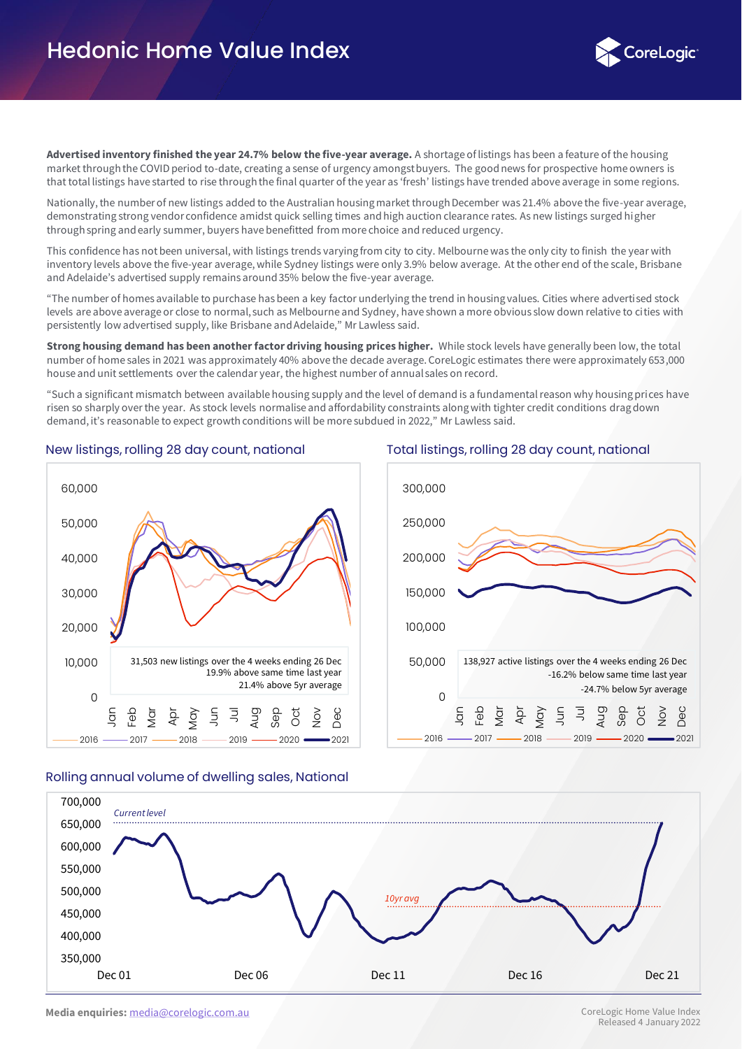

**Advertised inventory finished the year 24.7% below the five-year average.** A shortage of listings has been a feature of the housing market through the COVID period to-date, creating a sense of urgency amongst buyers. The good news for prospective home owners is that total listings have started to rise through the final quarter of the year as 'fresh' listings have trended above average in some regions.

Nationally, the number of new listings added to the Australian housing market through December was 21.4% above the five-year average, demonstrating strong vendor confidence amidst quick selling times and high auction clearance rates. As new listings surged higher through spring and early summer, buyers have benefitted from more choice and reduced urgency.

This confidence has not been universal, with listings trends varying from city to city. Melbourne was the only city to finish the year with inventory levels above the five-year average, while Sydney listings were only 3.9% below average. At the other end of the scale, Brisbane and Adelaide's advertised supply remains around 35% below the five-year average.

"The number of homes available to purchase has been a key factor underlying the trend in housing values. Cities where advertised stock levels are above average or close to normal, such as Melbourne and Sydney, have shown a more obvious slow down relative to cities with persistently low advertised supply, like Brisbane and Adelaide," Mr Lawless said.

**Strong housing demand has been another factor driving housing prices higher.** While stock levels have generally been low, the total number of home sales in 2021 was approximately 40% above the decade average. CoreLogic estimates there were approximately 653,000 house and unit settlements over the calendar year, the highest number of annual sales on record.

"Such a significant mismatch between available housing supply and the level of demand is a fundamental reason why housing prices have risen so sharply over the year. As stock levels normalise and affordability constraints along with tighter credit conditions drag down demand, it's reasonable to expect growth conditions will be more subdued in 2022," Mr Lawless said.



#### New listings, rolling 28 day count, national Total listings, rolling 28 day count, national



#### Rolling annual volume of dwelling sales, National

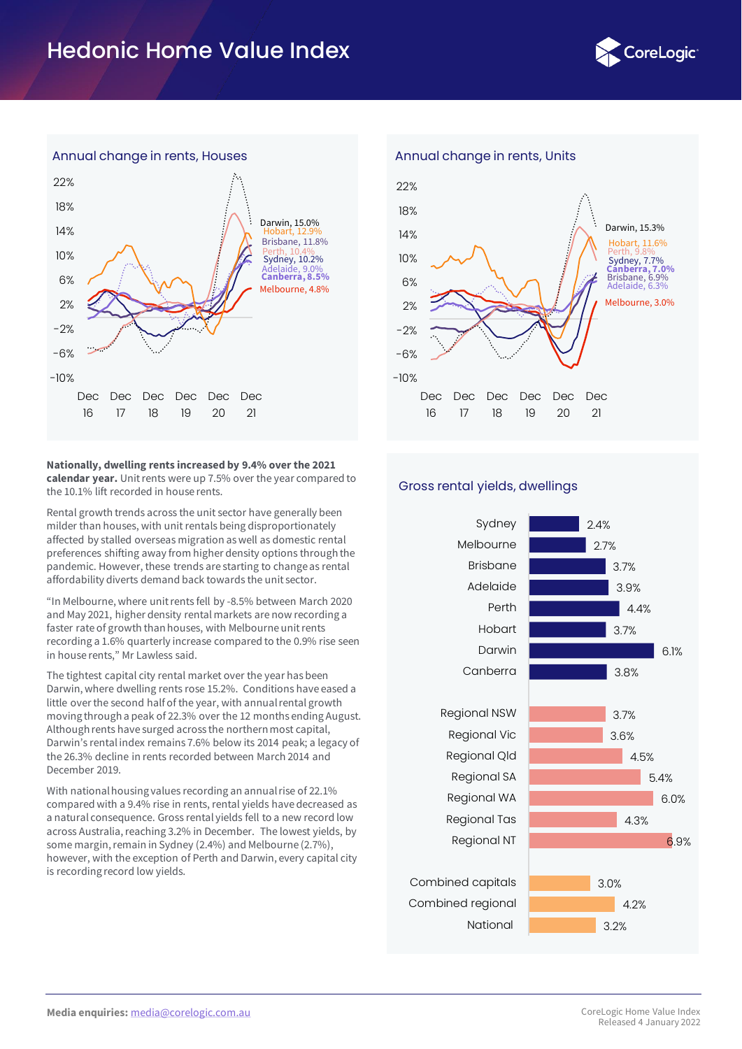# Hedonic Home Value Index





**Nationally, dwelling rents increased by 9.4% over the 2021 calendar year.** Unit rents were up 7.5% over the year compared to the 10.1% lift recorded in house rents.

Rental growth trends across the unit sector have generally been milder than houses, with unit rentals being disproportionately affected by stalled overseas migration as well as domestic rental preferences shifting away from higher density options through the pandemic. However, these trends are starting to change as rental affordability diverts demand back towards the unit sector.

"In Melbourne, where unit rents fell by -8.5% between March 2020 and May 2021, higher density rental markets are now recording a faster rate of growth than houses, with Melbourne unit rents recording a 1.6% quarterly increase compared to the 0.9% rise seen in house rents," Mr Lawless said.

The tightest capital city rental market over the year has been Darwin, where dwelling rents rose 15.2%. Conditions have eased a little over the second half of the year, with annual rental growth moving through a peak of 22.3% over the 12 months ending August. Although rents have surged across the northern most capital, Darwin's rental index remains 7.6% below its 2014 peak; a legacy of the 26.3% decline in rents recorded between March 2014 and December 2019.

With national housing values recording an annual rise of 22.1% compared with a 9.4% rise in rents, rental yields have decreased as a natural consequence. Gross rental yields fell to a new record low across Australia, reaching 3.2% in December. The lowest yields, by some margin, remain in Sydney (2.4%) and Melbourne (2.7%), however, with the exception of Perth and Darwin, every capital city is recording record low yields.



#### Gross rental yields, dwellings

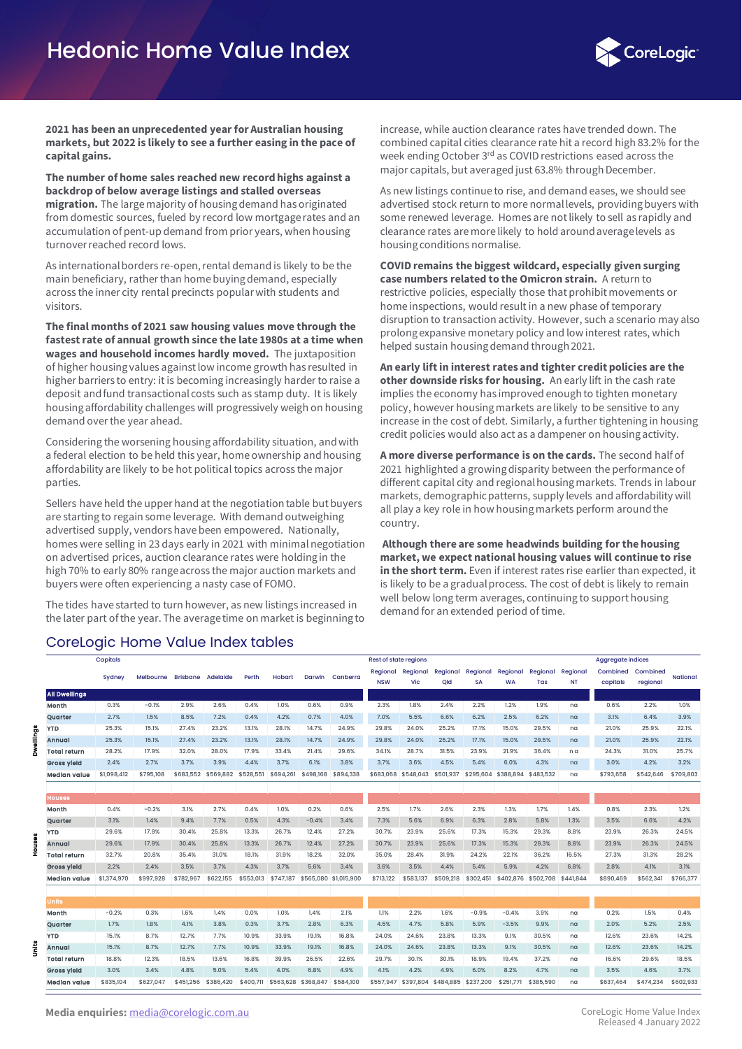

**2021 has been an unprecedented year for Australian housing markets, but 2022 is likely to see a further easing in the pace of capital gains.**

**The number of home sales reached new record highs against a backdrop of below average listings and stalled overseas migration.** The large majority of housing demand has originated from domestic sources, fueled by record low mortgage rates and an accumulation of pent-up demand from prior years, when housing turnover reached record lows.

As international borders re-open, rental demand is likely to be the main beneficiary, rather than home buying demand, especially across the inner city rental precincts popular with students and visitors.

**The final months of 2021 saw housing values move through the fastest rate of annual growth since the late 1980s at a time when wages and household incomes hardly moved.** The juxtaposition of higher housing values against low income growth has resulted in higher barriers to entry: it is becoming increasingly harder to raise a deposit and fund transactional costs such as stamp duty. It is likely housing affordability challenges will progressively weigh on housing demand over the year ahead.

Considering the worsening housing affordability situation, and with a federal election to be held this year, home ownership and housing affordability are likely to be hot political topics across the major parties.

Sellers have held the upper hand at the negotiation table but buyers are starting to regain some leverage. With demand outweighing advertised supply, vendors have been empowered. Nationally, homes were selling in 23 days early in 2021 with minimal negotiation on advertised prices, auction clearance rates were holding in the high 70% to early 80% range across the major auction markets and buyers were often experiencing a nasty case of FOMO.

The tides have started to turn however, as new listings increased in the later part of the year. The average time on market is beginning to

## CoreLogic Home Value Index tables

increase, while auction clearance rates have trended down. The combined capital cities clearance rate hit a record high 83.2% for the week ending October 3<sup>rd</sup> as COVID restrictions eased across the major capitals, but averaged just 63.8% through December.

As new listings continue to rise, and demand eases, we should see advertised stock return to more normal levels, providing buyers with some renewed leverage. Homes are not likely to sell as rapidly and clearance rates are more likely to hold around average levels as housing conditions normalise.

**COVID remains the biggest wildcard, especially given surging case numbers related to the Omicron strain.** A return to restrictive policies, especially those that prohibit movements or home inspections, would result in a new phase of temporary disruption to transaction activity. However, such a scenario may also prolong expansive monetary policy and low interest rates, which helped sustain housing demand through 2021.

**An early lift in interest rates and tighter credit policies are the other downside risks for housing.** An early lift in the cash rate implies the economy has improved enough to tighten monetary policy, however housing markets are likely to be sensitive to any increase in the cost of debt. Similarly, a further tightening in housing credit policies would also act as a dampener on housing activity.

**A more diverse performance is on the cards.** The second half of 2021 highlighted a growing disparity between the performance of different capital city and regional housing markets. Trends in labour markets, demographic patterns, supply levels and affordability will all play a key role in how housing markets perform around the country.

**Although there are some headwinds building for the housing market, we expect national housing values will continue to rise in the short term.** Even if interest rates rise earlier than expected, it is likely to be a gradual process. The cost of debt is likely to remain well below long term averages, continuing to support housing demand for an extended period of time.

|   |                      | Capitals    |           |           |           |           |                     |           |                       | <b>Rest of state regions</b> |           |           | <b>Aggregate indices</b> |           |                     |           |           |           |                 |
|---|----------------------|-------------|-----------|-----------|-----------|-----------|---------------------|-----------|-----------------------|------------------------------|-----------|-----------|--------------------------|-----------|---------------------|-----------|-----------|-----------|-----------------|
|   |                      |             | Melbourne | Brisbane  | Adelaide  | Perth     | <b>Hobart</b>       | Darwin    | Canberra              | Regional                     | Regional  | Regional  | Regional                 | Regional  | Regional            | Regional  | Combined  | Combined  | <b>National</b> |
|   |                      | Sydney      |           |           |           |           |                     |           |                       | <b>NSW</b>                   | Vic       | Qld       | <b>SA</b>                | <b>WA</b> | Tas                 | <b>NT</b> | capitals  | regional  |                 |
|   | <b>All Dwellings</b> |             |           |           |           |           |                     |           |                       |                              |           |           |                          |           |                     |           |           |           |                 |
|   | Month                | 0.3%        | $-0.1%$   | 2.9%      | 2.6%      | 0.4%      | 1.0%                | 0.6%      | 0.9%                  | 2.3%                         | 1.8%      | 2.4%      | 2.2%                     | 1.2%      | 1.9%                | na        | 0.6%      | 2.2%      | 1.0%            |
|   | Quarter              | 2.7%        | 1.5%      | 8.5%      | 7.2%      | 0.4%      | 4.2%                | 0.7%      | 4.0%                  | 7.0%                         | 5.5%      | 6.6%      | 6.2%                     | 2.5%      | 6.2%                | na        | 3.1%      | 6.4%      | 3.9%            |
| å | <b>YTD</b>           | 25.3%       | 15.1%     | 27.4%     | 23.2%     | 13.1%     | 28.1%               | 14.7%     | 24.9%                 | 29.8%                        | 24.0%     | 25.2%     | 17.1%                    | 15.0%     | 29.5%               | na        | 21.0%     | 25.9%     | 22.1%           |
|   | Annual               | 25.3%       | 15.1%     | 27.4%     | 23.2%     | 13.1%     | 28.1%               | 14.7%     | 24.9%                 | 29.8%                        | 24.0%     | 25.2%     | 17.1%                    | 15.0%     | 29.5%               | na        | 21.0%     | 25.9%     | 22.1%           |
|   | Total return         | 28.2%       | 17.9%     | 32.0%     | 28.0%     | 17.9%     | 33.4%               | 21.4%     | 29.6%                 | 34.1%                        | 28.7%     | 31.5%     | 23.9%                    | 21.9%     | 36.4%               | n a       | 24.3%     | 31.0%     | 25.7%           |
|   | <b>Gross yield</b>   | 2.4%        | 2.7%      | 3.7%      | 3.9%      | 4.4%      | 3.7%                | 6.1%      | 3.8%                  | 3.7%                         | 3.6%      | 4.5%      | 5.4%                     | 6.0%      | 4.3%                | na        | 3.0%      | 4.2%      | 3.2%            |
|   | Median value         | \$1,098,412 | \$795,108 | \$683,552 | \$569,882 | \$528,551 | \$694.261           | \$498,168 | \$894,338             | \$683,068                    | \$548,043 | \$501,937 | \$295,604                | \$388,894 | \$483,532           | na        | \$793,658 | \$542,646 | \$709,803       |
|   |                      |             |           |           |           |           |                     |           |                       |                              |           |           |                          |           |                     |           |           |           |                 |
|   | <b>Houses</b>        |             |           |           |           |           |                     |           |                       |                              |           |           |                          |           |                     |           |           |           |                 |
|   | Month                | 0.4%        | $-0.2%$   | 3.1%      | 2.7%      | 0.4%      | 1.0%                | 0.2%      | 0.6%                  | 2.5%                         | 1.7%      | 2.6%      | 2.3%                     | 1.3%      | 1.7%                | 1.4%      | 0.8%      | 2.3%      | 1.2%            |
|   | Quarter              | 3.1%        | 1.4%      | 9.4%      | 7.7%      | 0.5%      | 4.3%                | $-0.4%$   | 3.4%                  | 7.3%                         | 5.6%      | 6.9%      | 6.3%                     | 2.8%      | 5.8%                | 1.3%      | 3.5%      | 6.6%      | 4.2%            |
|   | <b>YTD</b>           | 29.6%       | 17.9%     | 30.4%     | 25.8%     | 13.3%     | 26.7%               | 12.4%     | 27.2%                 | 30.7%                        | 23.9%     | 25.6%     | 17.3%                    | 15.3%     | 29.3%               | 8.8%      | 23.9%     | 26.3%     | 24.5%           |
|   | Annual               | 29.6%       | 17.9%     | 30.4%     | 25.8%     | 13.3%     | 26.7%               | 12.4%     | 27.2%                 | 30.7%                        | 23.9%     | 25.6%     | 17.3%                    | 15.3%     | 29.3%               | 8.8%      | 23.9%     | 26.3%     | 24.5%           |
|   | Total return         | 32.7%       | 20.8%     | 35.4%     | 31.0%     | 18.1%     | 31.9%               | 18.2%     | 32.0%                 | 35.0%                        | 28.4%     | 31.9%     | 24.2%                    | 22.1%     | 36.2%               | 16.5%     | 27.3%     | 31.3%     | 28.2%           |
|   | <b>Gross yield</b>   | 2.2%        | 2.4%      | 3.5%      | 3.7%      | 4.3%      | 3.7%                | 5.6%      | 3.4%                  | 3.6%                         | 3.5%      | 4.4%      | 5.4%                     | 5.9%      | 4.2%                | 6.8%      | 2.8%      | 4.1%      | 3.1%            |
|   | Median value         | \$1,374,970 | \$997,928 | \$782,967 | \$622,155 | \$553,013 | \$747,187           |           | \$565,080 \$1,015,900 | \$713,122                    | \$583,137 | \$509,218 | \$302,451                |           | \$402,876 \$502,708 | \$441,844 | \$890,469 | \$562,341 | \$766,377       |
|   |                      |             |           |           |           |           |                     |           |                       |                              |           |           |                          |           |                     |           |           |           |                 |
|   | <b>Units</b>         |             |           |           |           |           |                     |           |                       |                              |           |           |                          |           |                     |           |           |           |                 |
|   | Month                | $-0.2%$     | 0.3%      | 1.6%      | 1.4%      | 0.0%      | 1.0%                | 1.4%      | 2.1%                  | 1.1%                         | 2.2%      | 1.6%      | $-0.9%$                  | $-0.4%$   | 3.9%                | na        | 0.2%      | 1.5%      | 0.4%            |
|   | Quarter              | 1.7%        | 1.8%      | 4.1%      | 3.8%      | 0.3%      | 3.7%                | 2.8%      | 6.3%                  | 4.5%                         | 4.7%      | 5.8%      | 5.9%                     | $-3.5%$   | 9.9%                | na        | 2.0%      | 5.2%      | 2.5%            |
|   | <b>YTD</b>           | 15.1%       | 8.7%      | 12.7%     | 7.7%      | 10.9%     | 33.9%               | 19.1%     | 16.8%                 | 24.0%                        | 24.6%     | 23.8%     | 13.3%                    | 9.1%      | 30.5%               | na        | 12.6%     | 23.6%     | 14.2%           |
|   | Annual               | 15.1%       | 8.7%      | 12.7%     | 7.7%      | 10.9%     | 33.9%               | 19.1%     | 16.8%                 | 24.0%                        | 24.6%     | 23.8%     | 13.3%                    | 9.1%      | 30.5%               | na        | 12.6%     | 23.6%     | 14.2%           |
|   | Total return         | 18.8%       | 12.3%     | 18.5%     | 13.6%     | 16.8%     | 39.9%               | 26.5%     | 22.6%                 | 29.7%                        | 30.1%     | 30.1%     | 18.9%                    | 19.4%     | 37.2%               | na        | 16.6%     | 29.6%     | 18.5%           |
|   | <b>Gross yield</b>   | 3.0%        | 3.4%      | 4.8%      | 5.0%      | 5.4%      | 4.0%                | 6.8%      | 4.9%                  | 4.1%                         | 4.2%      | 4.9%      | 6.0%                     | 8.2%      | 4.7%                | na        | 3.5%      | 4.6%      | 3.7%            |
|   | Median value         | \$835,104   | \$627,047 | \$451,256 | \$386,420 | \$400.711 | \$563,628 \$368,847 |           | \$584,100             | \$557,947                    | \$397,804 | \$484,885 | \$237,200                | \$251,771 | \$385,590           | na        | \$637,464 | \$474,234 | \$602,933       |